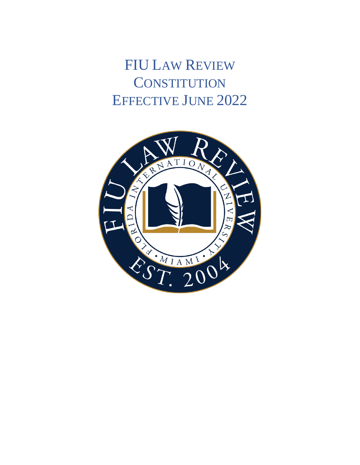**FIU LAW REVIEW CONSTITUTION EFFECTIVE JUNE 2022** 

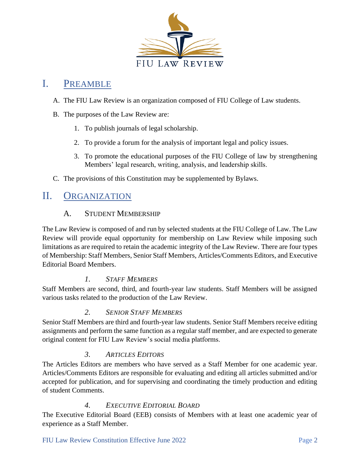

## I. PREAMBLE

- A. The FIU Law Review is an organization composed of FIU College of Law students.
- B. The purposes of the Law Review are:
	- 1. To publish journals of legal scholarship.
	- 2. To provide a forum for the analysis of important legal and policy issues.
	- 3. To promote the educational purposes of the FIU College of law by strengthening Members' legal research, writing, analysis, and leadership skills.
- C. The provisions of this Constitution may be supplemented by Bylaws.

# II. ORGANIZATION

### A. STUDENT MEMBERSHIP

The Law Review is composed of and run by selected students at the FIU College of Law. The Law Review will provide equal opportunity for membership on Law Review while imposing such limitations as are required to retain the academic integrity of the Law Review. There are four types of Membership: Staff Members, Senior Staff Members, Articles/Comments Editors, and Executive Editorial Board Members.

### *1. STAFF MEMBERS*

Staff Members are second, third, and fourth-year law students. Staff Members will be assigned various tasks related to the production of the Law Review.

### *2. SENIOR STAFF MEMBERS*

Senior Staff Members are third and fourth-year law students. Senior Staff Members receive editing assignments and perform the same function as a regular staff member, and are expected to generate original content for FIU Law Review's social media platforms.

### *3. ARTICLES EDITORS*

The Articles Editors are members who have served as a Staff Member for one academic year. Articles/Comments Editors are responsible for evaluating and editing all articles submitted and/or accepted for publication, and for supervising and coordinating the timely production and editing of student Comments.

### *4. EXECUTIVE EDITORIAL BOARD*

The Executive Editorial Board (EEB) consists of Members with at least one academic year of experience as a Staff Member.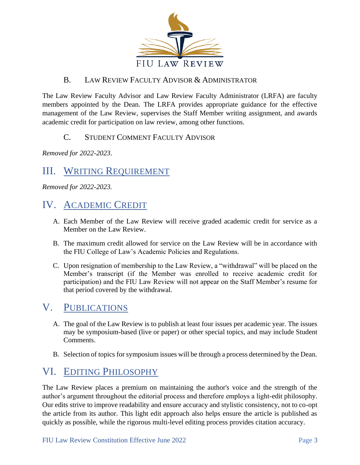

## B. LAW REVIEW FACULTY ADVISOR & ADMINISTRATOR

The Law Review Faculty Advisor and Law Review Faculty Administrator (LRFA) are faculty members appointed by the Dean. The LRFA provides appropriate guidance for the effective management of the Law Review, supervises the Staff Member writing assignment, and awards academic credit for participation on law review, among other functions.

## C. STUDENT COMMENT FACULTY ADVISOR

*Removed for 2022-2023*.

# III. WRITING REQUIREMENT

*Removed for 2022-2023.*

## IV. ACADEMIC CREDIT

- A. Each Member of the Law Review will receive graded academic credit for service as a Member on the Law Review.
- B. The maximum credit allowed for service on the Law Review will be in accordance with the FIU College of Law's Academic Policies and Regulations.
- C. Upon resignation of membership to the Law Review, a "withdrawal" will be placed on the Member's transcript (if the Member was enrolled to receive academic credit for participation) and the FIU Law Review will not appear on the Staff Member's resume for that period covered by the withdrawal.

## V. PUBLICATIONS

- A. The goal of the Law Review is to publish at least four issues per academic year. The issues may be symposium-based (live or paper) or other special topics, and may include Student Comments.
- B. Selection of topics for symposium issues will be through a process determined by the Dean.

## VI. EDITING PHILOSOPHY

The Law Review places a premium on maintaining the author's voice and the strength of the author's argument throughout the editorial process and therefore employs a light-edit philosophy. Our edits strive to improve readability and ensure accuracy and stylistic consistency, not to co-opt the article from its author. This light edit approach also helps ensure the article is published as quickly as possible, while the rigorous multi-level editing process provides citation accuracy.